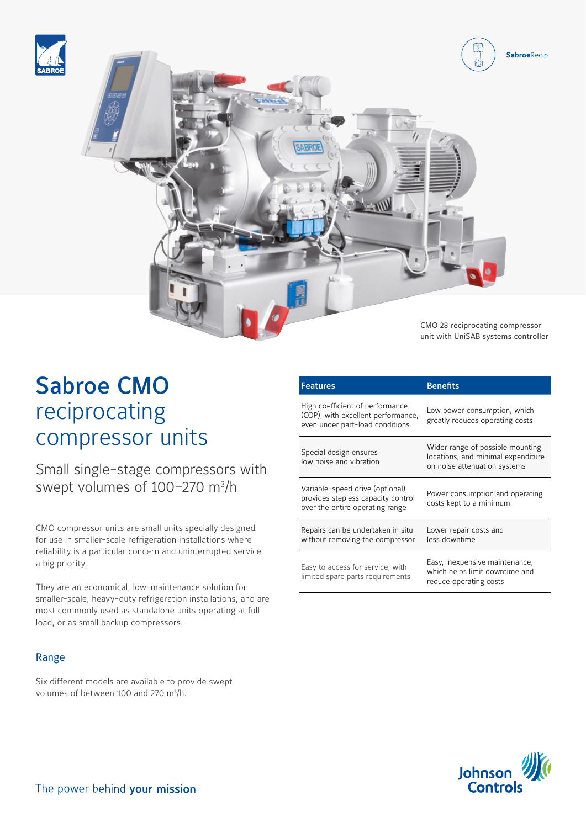



## Sabroe CMO reciprocating compressor units

Small single-stage compressors with swept volumes of 100–270 m<sup>3</sup>/h

CMO compressor units are small units specially designed for use in smaller-scale refrigeration installations where reliability is a particular concern and uninterrupted service a big priority.

They are an economical, low-maintenance solution for smaller-scale, heavy-duty refrigeration installations, and are most commonly used as standalone units operating at full load, or as small backup compressors.

## Range

Six different models are available to provide swept volumes of between 100 and 270 m<sup>3</sup>/h.

| <b>Features</b>                                                                                          | <b>Benefits</b>                                                                                        |
|----------------------------------------------------------------------------------------------------------|--------------------------------------------------------------------------------------------------------|
| High coefficient of performance<br>(COP), with excellent performance,<br>even under part-load conditions | Low power consumption, which<br>greatly reduces operating costs                                        |
| Special design ensures<br>low noise and vibration                                                        | Wider range of possible mounting<br>locations, and minimal expenditure<br>on noise attenuation systems |
| Variable-speed drive (optional)<br>provides stepless capacity control<br>over the entire operating range | Power consumption and operating<br>costs kept to a minimum                                             |
| Repairs can be undertaken in situ<br>without removing the compressor                                     | Lower repair costs and<br>less downtime                                                                |
| Easy to access for service, with<br>limited spare parts requirements                                     | Easy, inexpensive maintenance,<br>which helps limit downtime and<br>reduce operating costs             |